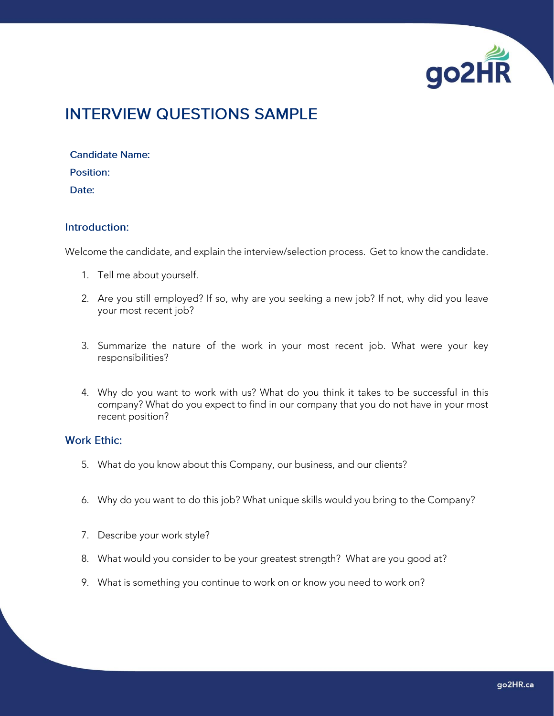

# **INTERVIEW QUESTIONS SAMPLE**

**Candidate Name:** Position: Date:

#### Introduction:

Welcome the candidate, and explain the interview/selection process. Get to know the candidate.

- 1. Tell me about yourself.
- 2. Are you still employed? If so, why are you seeking a new job? If not, why did you leave your most recent job?
- 3. Summarize the nature of the work in your most recent job. What were your key responsibilities?
- 4. Why do you want to work with us? What do you think it takes to be successful in this company? What do you expect to find in our company that you do not have in your most recent position?

#### **Work Ethic:**

- 5. What do you know about this Company, our business, and our clients?
- 6. Why do you want to do this job? What unique skills would you bring to the Company?
- 7. Describe your work style?
- 8. What would you consider to be your greatest strength? What are you good at?
- 9. What is something you continue to work on or know you need to work on?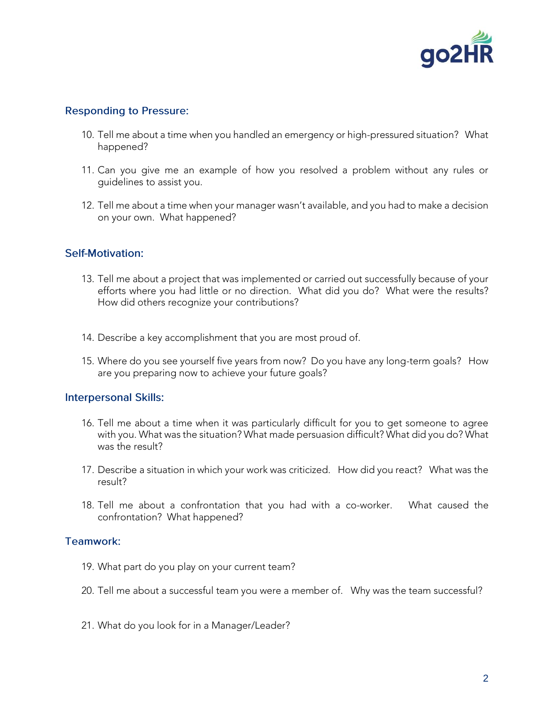

## **Responding to Pressure:**

- 10. Tell me about a time when you handled an emergency or high-pressured situation? What happened?
- 11. Can you give me an example of how you resolved a problem without any rules or guidelines to assist you.
- 12. Tell me about a time when your manager wasn't available, and you had to make a decision on your own. What happened?

## **Self-Motivation:**

- 13. Tell me about a project that was implemented or carried out successfully because of your efforts where you had little or no direction. What did you do? What were the results? How did others recognize your contributions?
- 14. Describe a key accomplishment that you are most proud of.
- 15. Where do you see yourself five years from now? Do you have any long-term goals? How are you preparing now to achieve your future goals?

### **Interpersonal Skills:**

- 16. Tell me about a time when it was particularly difficult for you to get someone to agree with you. What was the situation? What made persuasion difficult? What did you do? What was the result?
- 17. Describe a situation in which your work was criticized. How did you react? What was the result?
- 18. Tell me about a confrontation that you had with a co-worker. What caused the confrontation? What happened?

### Teamwork:

- 19. What part do you play on your current team?
- 20. Tell me about a successful team you were a member of. Why was the team successful?
- 21. What do you look for in a Manager/Leader?